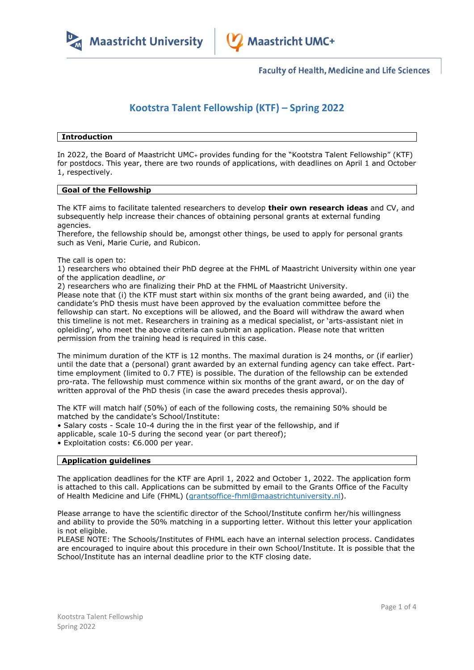

**Faculty of Health, Medicine and Life Sciences** 

# **Kootstra Talent Fellowship (KTF) – Spring 2022**

# **Introduction**

In 2022, the Board of Maastricht UMC+ provides funding for the "Kootstra Talent Fellowship" (KTF) for postdocs. This year, there are two rounds of applications, with deadlines on April 1 and October 1, respectively.

## **Goal of the Fellowship**

The KTF aims to facilitate talented researchers to develop **their own research ideas** and CV, and subsequently help increase their chances of obtaining personal grants at external funding agencies.

Therefore, the fellowship should be, amongst other things, be used to apply for personal grants such as Veni, Marie Curie, and Rubicon.

## The call is open to:

1) researchers who obtained their PhD degree at the FHML of Maastricht University within one year of the application deadline, *or*

2) researchers who are finalizing their PhD at the FHML of Maastricht University.

Please note that (i) the KTF must start within six months of the grant being awarded, and (ii) the candidate's PhD thesis must have been approved by the evaluation committee before the fellowship can start. No exceptions will be allowed, and the Board will withdraw the award when this timeline is not met. Researchers in training as a medical specialist, or 'arts-assistant niet in opleiding', who meet the above criteria can submit an application. Please note that written permission from the training head is required in this case.

The minimum duration of the KTF is 12 months. The maximal duration is 24 months, or (if earlier) until the date that a (personal) grant awarded by an external funding agency can take effect. Parttime employment (limited to 0.7 FTE) is possible. The duration of the fellowship can be extended pro-rata. The fellowship must commence within six months of the grant award, or on the day of written approval of the PhD thesis (in case the award precedes thesis approval).

The KTF will match half (50%) of each of the following costs, the remaining 50% should be matched by the candidate's School/Institute:

• Salary costs - Scale 10-4 during the in the first year of the fellowship, and if

applicable, scale 10-5 during the second year (or part thereof);

• Exploitation costs: €6.000 per year.

# **Application guidelines**

The application deadlines for the KTF are April 1, 2022 and October 1, 2022. The application form is attached to this call. Applications can be submitted by email to the Grants Office of the Faculty of Health Medicine and Life (FHML) [\(grantsoffice-fhml@maastrichtuniversity.nl\)](mailto:grantsoffice-fhml@maastrichtuniversity.nl).

Please arrange to have the scientific director of the School/Institute confirm her/his willingness and ability to provide the 50% matching in a supporting letter. Without this letter your application is not eligible.

PLEASE NOTE: The Schools/Institutes of FHML each have an internal selection process. Candidates are encouraged to inquire about this procedure in their own School/Institute. It is possible that the School/Institute has an internal deadline prior to the KTF closing date.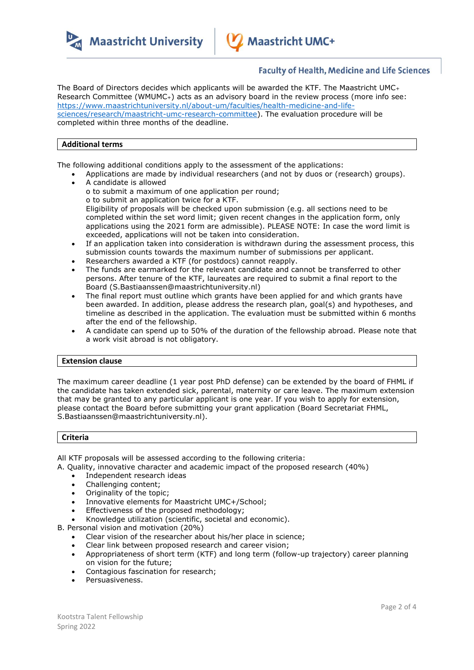



# **Faculty of Health, Medicine and Life Sciences**

The Board of Directors decides which applicants will be awarded the KTF. The Maastricht UMC<sup>+</sup> Research Committee (WMUMC+) acts as an advisory board in the review process (more info see: [https://www.maastrichtuniversity.nl/about-um/faculties/health-medicine-and-life](https://www.maastrichtuniversity.nl/about-um/faculties/health-medicine-and-life-sciences/research/maastricht-umc-research-committee)[sciences/research/maastricht-umc-research-committee\)](https://www.maastrichtuniversity.nl/about-um/faculties/health-medicine-and-life-sciences/research/maastricht-umc-research-committee). The evaluation procedure will be completed within three months of the deadline.

# **Additional terms**

The following additional conditions apply to the assessment of the applications:

- Applications are made by individual researchers (and not by duos or (research) groups).
- A candidate is allowed o to submit a maximum of one application per round; o to submit an application twice for a KTF. Eligibility of proposals will be checked upon submission (e.g. all sections need to be completed within the set word limit; given recent changes in the application form, only applications using the 2021 form are admissible). PLEASE NOTE: In case the word limit is exceeded, applications will not be taken into consideration.
- If an application taken into consideration is withdrawn during the assessment process, this submission counts towards the maximum number of submissions per applicant.
- Researchers awarded a KTF (for postdocs) cannot reapply.
- The funds are earmarked for the relevant candidate and cannot be transferred to other persons. After tenure of the KTF, laureates are required to submit a final report to the Board (S.Bastiaanssen@maastrichtuniversity.nl)
- The final report must outline which grants have been applied for and which grants have been awarded. In addition, please address the research plan, goal(s) and hypotheses, and timeline as described in the application. The evaluation must be submitted within 6 months after the end of the fellowship.
- A candidate can spend up to 50% of the duration of the fellowship abroad. Please note that a work visit abroad is not obligatory.

#### **Extension clause**

The maximum career deadline (1 year post PhD defense) can be extended by the board of FHML if the candidate has taken extended sick, parental, maternity or care leave. The maximum extension that may be granted to any particular applicant is one year. If you wish to apply for extension, please contact the Board before submitting your grant application (Board Secretariat FHML, S.Bastiaanssen@maastrichtuniversity.nl).

# **Criteria**

All KTF proposals will be assessed according to the following criteria:

- A. Quality, innovative character and academic impact of the proposed research (40%)
	- Independent research ideas
	- Challenging content;
	- Originality of the topic;
	- Innovative elements for Maastricht UMC+/School;
	- Effectiveness of the proposed methodology;
	- Knowledge utilization (scientific, societal and economic).

B. Personal vision and motivation (20%)

- Clear vision of the researcher about his/her place in science;
- Clear link between proposed research and career vision;
- Appropriateness of short term (KTF) and long term (follow-up trajectory) career planning on vision for the future;
- Contagious fascination for research;
- Persuasiveness.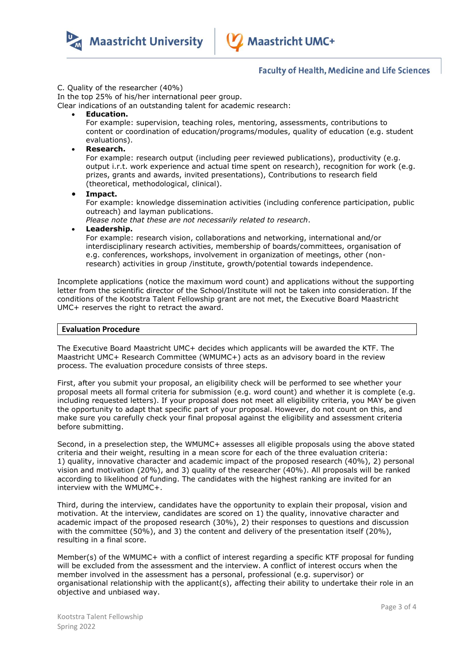

**Maastricht University** 

# **Faculty of Health, Medicine and Life Sciences**

#### C. Quality of the researcher (40%)

In the top 25% of his/her international peer group.

Clear indications of an outstanding talent for academic research:

**Education.**

For example: supervision, teaching roles, mentoring, assessments, contributions to content or coordination of education/programs/modules, quality of education (e.g. student evaluations).

**Research.**

For example: research output (including peer reviewed publications), productivity (e.g. output i.r.t. work experience and actual time spent on research), recognition for work (e.g. prizes, grants and awards, invited presentations), Contributions to research field (theoretical, methodological, clinical).

**Impact.**

For example: knowledge dissemination activities (including conference participation, public outreach) and layman publications.

*Please note that these are not necessarily related to research*.

**Leadership.**

For example: research vision, collaborations and networking, international and/or interdisciplinary research activities, membership of boards/committees, organisation of e.g. conferences, workshops, involvement in organization of meetings, other (nonresearch) activities in group /institute, growth/potential towards independence.

Incomplete applications (notice the maximum word count) and applications without the supporting letter from the scientific director of the School/Institute will not be taken into consideration. If the conditions of the Kootstra Talent Fellowship grant are not met, the Executive Board Maastricht UMC+ reserves the right to retract the award.

## **Evaluation Procedure**

The Executive Board Maastricht UMC+ decides which applicants will be awarded the KTF. The Maastricht UMC+ Research Committee (WMUMC+) acts as an advisory board in the review process. The evaluation procedure consists of three steps.

First, after you submit your proposal, an eligibility check will be performed to see whether your proposal meets all formal criteria for submission (e.g. word count) and whether it is complete (e.g. including requested letters). If your proposal does not meet all eligibility criteria, you MAY be given the opportunity to adapt that specific part of your proposal. However, do not count on this, and make sure you carefully check your final proposal against the eligibility and assessment criteria before submitting.

Second, in a preselection step, the WMUMC+ assesses all eligible proposals using the above stated criteria and their weight, resulting in a mean score for each of the three evaluation criteria: 1) quality, innovative character and academic impact of the proposed research (40%), 2) personal vision and motivation (20%), and 3) quality of the researcher (40%). All proposals will be ranked according to likelihood of funding. The candidates with the highest ranking are invited for an interview with the WMUMC+.

Third, during the interview, candidates have the opportunity to explain their proposal, vision and motivation. At the interview, candidates are scored on 1) the quality, innovative character and academic impact of the proposed research (30%), 2) their responses to questions and discussion with the committee (50%), and 3) the content and delivery of the presentation itself (20%), resulting in a final score.

Member(s) of the WMUMC+ with a conflict of interest regarding a specific KTF proposal for funding will be excluded from the assessment and the interview. A conflict of interest occurs when the member involved in the assessment has a personal, professional (e.g. supervisor) or organisational relationship with the applicant(s), affecting their ability to undertake their role in an objective and unbiased way.